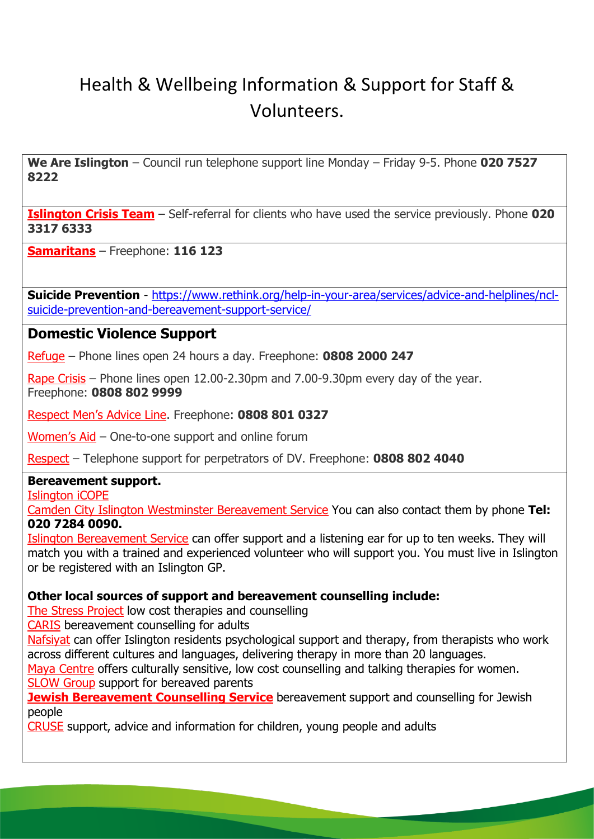# Health & Wellbeing Information & Support for Staff & Volunteers.

**We Are Islington** – Council run telephone support line Monday – Friday 9-5. Phone **020 7527 8222**

**[Islington Crisis Team](https://www.candi.nhs.uk/services/islington-crisis-resolution-team)** – Self-referral for clients who have used the service previously. Phone **020 3317 6333**

**[Samaritans](https://www.samaritans.org/)** – Freephone: **116 123**

**Suicide Prevention** - [https://www.rethink.org/help-in-your-area/services/advice-and-helplines/ncl](https://www.rethink.org/help-in-your-area/services/advice-and-helplines/ncl-suicide-prevention-and-bereavement-support-service/)[suicide-prevention-and-bereavement-support-service/](https://www.rethink.org/help-in-your-area/services/advice-and-helplines/ncl-suicide-prevention-and-bereavement-support-service/)

## **Domestic Violence Support**

[Refuge](https://www.nationaldahelpline.org.uk/Contact-us) – Phone lines open 24 hours a day. Freephone: **0808 2000 247**

[Rape Crisis](http://www.rapecrisis.org.uk/get-help/want-to-talk/) – Phone lines open 12.00-2.30pm and 7.00-9.30pm every day of the year. Freephone: **0808 802 9999**

[Respect Men's Advice Line](https://mensadviceline.org.uk/). Freephone: **0808 801 0327**

[Women's Aid](https://www.womensaid.org.uk/) – One-to-one support and online forum

[Respect](http://www.respectphoneline.org.uk/) – Telephone support for perpetrators of DV. Freephone: **0808 802 4040**

### **Bereavement support.**

[Islington iCOPE](https://www.icope.nhs.uk/)

[Camden City Islington Westminster Bereavement Service](https://www.bereavement-counselling.org/) You can also contact them by phone **Tel: 020 7284 0090.**

**[Islington Bereavement Service](http://www.stjh.org.uk/our-services/community-services/islington-bereavement-service) can offer support and a listening ear for up to ten weeks. They will** match you with a trained and experienced volunteer who will support you. You must live in Islington or be registered with an Islington GP.

### **Other local sources of support and bereavement counselling include:**

[The Stress Project](https://www.stressproject.org.uk/counselling.html) low cost therapies and counselling

[CARIS](https://www.carisislington.org/) bereavement counselling for adults

[Nafsiyat](http://www.nafsiyat.org.uk/) can offer Islington residents psychological support and therapy, from therapists who work across different cultures and languages, delivering therapy in more than 20 languages.

[Maya Centre](https://www.mayacentre.org.uk/) offers culturally sensitive, low cost counselling and talking therapies for women. [SLOW Group](https://slowgroup.co.uk/) support for bereaved parents

**[Jewish Bereavement Counselling Service](https://jbcs.org.uk/contact/)** bereavement support and counselling for Jewish people

[CRUSE](https://www.cruse.org.uk/) support, advice and information for children, young people and adults